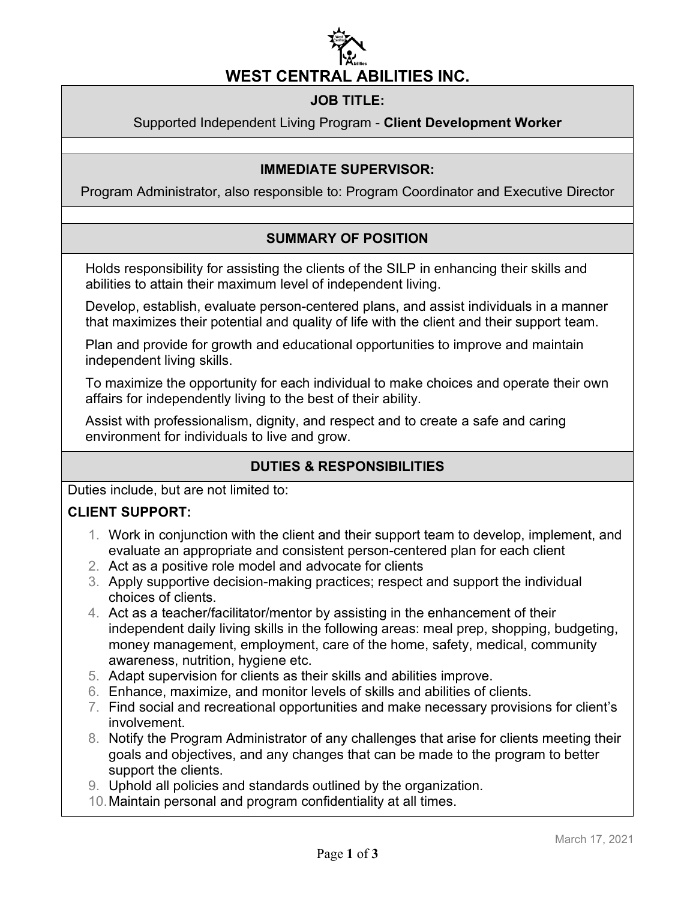

## **JOB TITLE:**

#### Supported Independent Living Program - **Client Development Worker**

#### **IMMEDIATE SUPERVISOR:**

Program Administrator, also responsible to: Program Coordinator and Executive Director

## **SUMMARY OF POSITION**

Holds responsibility for assisting the clients of the SILP in enhancing their skills and abilities to attain their maximum level of independent living.

Develop, establish, evaluate person-centered plans, and assist individuals in a manner that maximizes their potential and quality of life with the client and their support team.

Plan and provide for growth and educational opportunities to improve and maintain independent living skills.

To maximize the opportunity for each individual to make choices and operate their own affairs for independently living to the best of their ability.

Assist with professionalism, dignity, and respect and to create a safe and caring environment for individuals to live and grow.

#### **DUTIES & RESPONSIBILITIES**

Duties include, but are not limited to:

## **CLIENT SUPPORT:**

- 1. Work in conjunction with the client and their support team to develop, implement, and evaluate an appropriate and consistent person-centered plan for each client
- 2. Act as a positive role model and advocate for clients
- 3. Apply supportive decision-making practices; respect and support the individual choices of clients.
- 4. Act as a teacher/facilitator/mentor by assisting in the enhancement of their independent daily living skills in the following areas: meal prep, shopping, budgeting, money management, employment, care of the home, safety, medical, community awareness, nutrition, hygiene etc.
- 5. Adapt supervision for clients as their skills and abilities improve.
- 6. Enhance, maximize, and monitor levels of skills and abilities of clients.
- 7. Find social and recreational opportunities and make necessary provisions for client's involvement.
- 8. Notify the Program Administrator of any challenges that arise for clients meeting their goals and objectives, and any changes that can be made to the program to better support the clients.
- 9. Uphold all policies and standards outlined by the organization.
- 10.Maintain personal and program confidentiality at all times.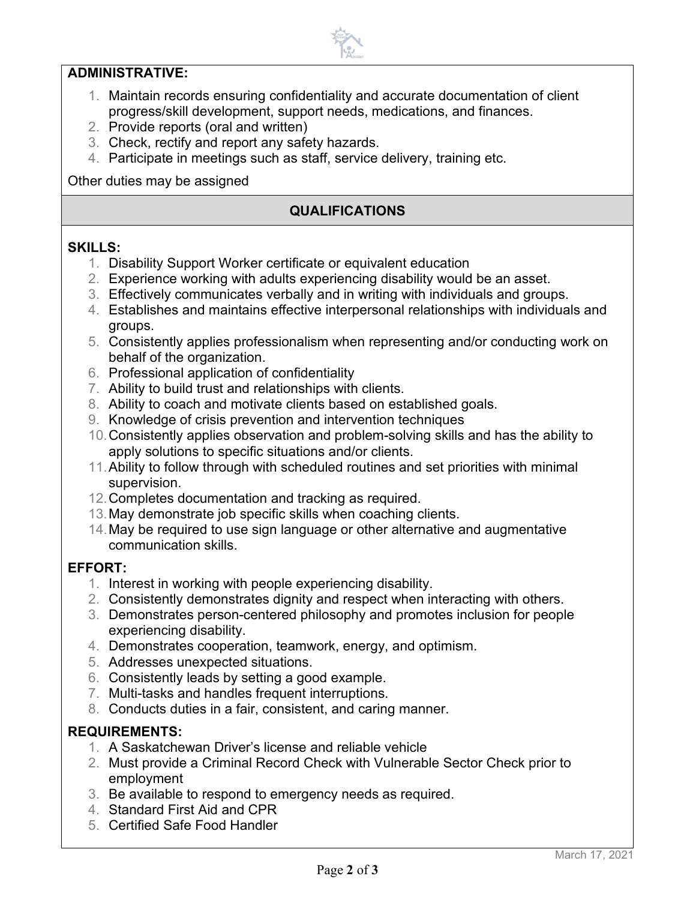#### **ADMINISTRATIVE:**

- 1. Maintain records ensuring confidentiality and accurate documentation of client progress/skill development, support needs, medications, and finances.
- 2. Provide reports (oral and written)
- 3. Check, rectify and report any safety hazards.
- 4. Participate in meetings such as staff, service delivery, training etc.

Other duties may be assigned

# **QUALIFICATIONS**

#### **SKILLS:**

- 1. Disability Support Worker certificate or equivalent education
- 2. Experience working with adults experiencing disability would be an asset.
- 3. Effectively communicates verbally and in writing with individuals and groups.
- 4. Establishes and maintains effective interpersonal relationships with individuals and groups.
- 5. Consistently applies professionalism when representing and/or conducting work on behalf of the organization.
- 6. Professional application of confidentiality
- 7. Ability to build trust and relationships with clients.
- 8. Ability to coach and motivate clients based on established goals.
- 9. Knowledge of crisis prevention and intervention techniques
- 10.Consistently applies observation and problem-solving skills and has the ability to apply solutions to specific situations and/or clients.
- 11.Ability to follow through with scheduled routines and set priorities with minimal supervision.
- 12.Completes documentation and tracking as required.
- 13.May demonstrate job specific skills when coaching clients.
- 14.May be required to use sign language or other alternative and augmentative communication skills.

#### **EFFORT:**

- 1. Interest in working with people experiencing disability.
- 2. Consistently demonstrates dignity and respect when interacting with others.
- 3. Demonstrates person-centered philosophy and promotes inclusion for people experiencing disability.
- 4. Demonstrates cooperation, teamwork, energy, and optimism.
- 5. Addresses unexpected situations.
- 6. Consistently leads by setting a good example.
- 7. Multi-tasks and handles frequent interruptions.
- 8. Conducts duties in a fair, consistent, and caring manner.

#### **REQUIREMENTS:**

- 1. A Saskatchewan Driver's license and reliable vehicle
- 2. Must provide a Criminal Record Check with Vulnerable Sector Check prior to employment
- 3. Be available to respond to emergency needs as required.
- 4. Standard First Aid and CPR
- 5. Certified Safe Food Handler